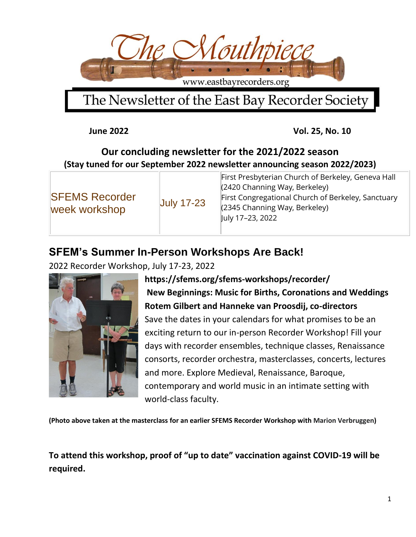

## The Newsletter of the East Bay Recorder Society

**June 2022 Vol. 25, No. 10** 

#### **Our concluding newsletter for the 2021/2022 season (Stay tuned for our September 2022 newsletter announcing season 2022/2023)**

| <b>SFEMS Recorder</b><br><b>July 17-23</b><br>week workshop | First Presbyterian Church of Berkeley, Geneva Hall<br>(2420 Channing Way, Berkeley)<br>First Congregational Church of Berkeley, Sanctuary<br>(2345 Channing Way, Berkeley)<br>July 17-23, 2022 |
|-------------------------------------------------------------|------------------------------------------------------------------------------------------------------------------------------------------------------------------------------------------------|
|-------------------------------------------------------------|------------------------------------------------------------------------------------------------------------------------------------------------------------------------------------------------|

#### **SFEM's Summer In-Person Workshops Are Back!**

2022 Recorder Workshop, July 17-23, 2022



**https://sfems.org/sfems-workshops/recorder/ New Beginnings: Music for Births, Coronations and Weddings Rotem Gilbert and Hanneke van Proosdij, co-directors** Save the dates in your calendars for what promises to be an exciting return to our in-person Recorder Workshop! Fill your days with recorder ensembles, technique classes, Renaissance consorts, recorder orchestra, masterclasses, concerts, lectures and more. Explore Medieval, Renaissance, Baroque, contemporary and world music in an intimate setting with world-class faculty.

**(Photo above taken at the masterclass for an earlier SFEMS Recorder Workshop with Marion Verbruggen)**

**To attend this workshop, proof of "up to date" vaccination against COVID-19 will be required.**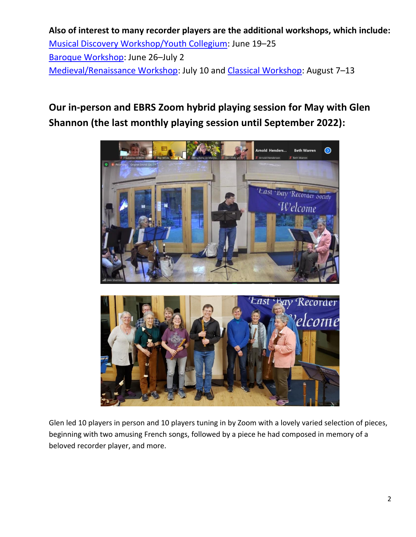**Also of interest to many recorder players are the additional workshops, which include:** [Musical Discovery Workshop/Youth Collegium:](https://sfems.org/sfems-workshops/music-discovery-youth/) June 19–25 [Baroque Workshop:](https://sfems.org/sfems-workshops/baroque/) June 26–July 2 [Medieval/Renaissance Workshop:](https://sfems.org/sfems-workshops/medieval-renaissance/) July 10 and [Classical Workshop:](https://sfems.org/sfems-workshops/classical/) August 7–13

### **Our in-person and EBRS Zoom hybrid playing session for May with Glen Shannon (the last monthly playing session until September 2022):**



Glen led 10 players in person and 10 players tuning in by Zoom with a lovely varied selection of pieces, beginning with two amusing French songs, followed by a piece he had composed in memory of a beloved recorder player, and more.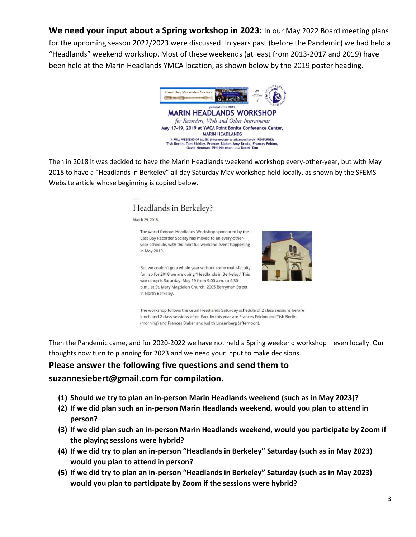**We need your input about a Spring workshop in 2023:** In our May 2022 Board meeting plans for the upcoming season 2022/2023 were discussed. In years past (before the Pandemic) we had held a "Headlands" weekend workshop. Most of these weekends (at least from 2013-2017 and 2019) have been held at the Marin Headlands YMCA location, as shown below by the 2019 poster heading.



A FULL WEEKEND OF MUSIC (intermediate to advanced levels) FEATURING:<br>Tish Berlin, Tom Bickley, Frances Blaker, Amy Brodo, Frances Feldon, Gavle Neuman. Phil Neuman. and Derek Tam

Then in 2018 it was decided to have the Marin Headlands weekend workshop every-other-year, but with May 2018 to have a "Headlands in Berkeley" all day Saturday May workshop held locally, as shown by the SFEMS Website article whose beginning is copied below.

#### Headlands in Berkeley?

March 29, 2018



East Bay Recorder Society has moved to an every-otheryear schedule, with the next full weekend event happening in May 2019.

But we couldn't go a whole year without some multi-faculty

The world-famous Headlands Workshop sponsored by the

fun, so for 2018 we are doing "Headlands in Berkeley." This workshop is Saturday, May 19 from 9:00 a.m. to 4:30 p.m., at St. Mary Magdalen Church, 2005 Berryman Street in North Berkeley.

The workshop follows the usual Headlands Saturday schedule of 2 class sessions before lunch and 2 class sessions after. Faculty this year are Frances Feldon and Tish Berlin (morning) and Frances Blaker and Judith Linsenberg (afternoon).

Then the Pandemic came, and for 2020-2022 we have not held a Spring weekend workshop—even locally. Our thoughts now turn to planning for 2023 and we need your input to make decisions.

#### **Please answer the following five questions and send them to suzannesiebert@gmail.com for compilation.**

- **(1) Should we try to plan an in-person Marin Headlands weekend (such as in May 2023)?**
- **(2) If we did plan such an in-person Marin Headlands weekend, would you plan to attend in person?**
- **(3) If we did plan such an in-person Marin Headlands weekend, would you participate by Zoom if the playing sessions were hybrid?**
- **(4) If we did try to plan an in-person "Headlands in Berkeley" Saturday (such as in May 2023) would you plan to attend in person?**
- **(5) If we did try to plan an in-person "Headlands in Berkeley" Saturday (such as in May 2023) would you plan to participate by Zoom if the sessions were hybrid?**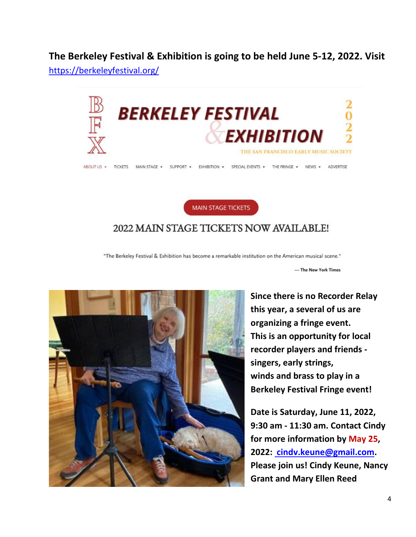**The Berkeley Festival & Exhibition is going to be held June 5-12, 2022. Visit** <https://berkeleyfestival.org/>





#### 2022 MAIN STAGE TICKETS NOW AVAILABLE!

"The Berkeley Festival & Exhibition has become a remarkable institution on the American musical scene."

- The New York Times



**Since there is no Recorder Relay this year, a several of us are organizing a fringe event. This is an opportunity for local recorder players and friends singers, early strings, winds and brass to play in a Berkeley Festival Fringe event!**

**Date is Saturday, June 11, 2022, 9:30 am - 11:30 am. Contact Cindy for more information by May 25, 2022: [cindv.keune@gmail.com.](mailto:cindy.keune@gmail.com) Please join us! Cindy Keune, Nancy Grant and Mary Ellen Reed**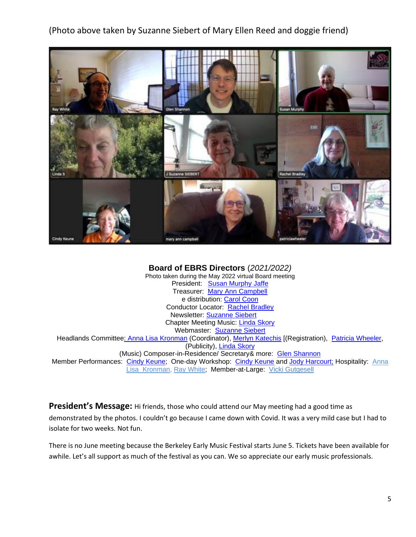(Photo above taken by Suzanne Siebert of Mary Ellen Reed and doggie friend)



#### **Board of EBRS Directors** (*2021/2022)*

Photo taken during the May 2022 virtual Board meeting President: Susan [Murphy](mailto:thesmurph2021@gmail.com) Jaffe Treasurer: Mary Ann [Campbell](mailto:macwichie@sonic.net?subject=Mary%20Ann%20Campbell) e distribution: [Carol](mailto:ccoon.wildwood5@att.net) Coon Conductor Locator: Rachel [Bradley](mailto:rbradleywood@gmail.com) Newsletter: [Suzanne](mailto:suzannesiebert@gmail.com) Siebert Chapter Meeting Music: Linda [Skory](mailto:mt9999@comcast.net) Webmaster: **[Suzanne](mailto:suzannesiebert@gmail.com) Siebert** Headlands Committee: Anna Lisa [Kronman](mailto:annalisakronman@gmail.com) (Coordinator), Merlyn [Katechis](mailto:merlynk@berkeleymusic.com) [(Registration), Patricia [Wheeler,](mailto:patricia@batnet.com) (Publicity), Linda [Skory](mailto:mt9999@comcast.net) (Music) Composer-in-Residence/ Secretary& more: Glen [Shannon](mailto:glen.shannon@k183.com) Member Performances: Cindy [Keune;](mailto:cindy_keune@yahoo.com) One-day Workshop: Cindy [Keune](mailto:cindy.keune@gmail.com) and Jody [Harcourt;](mailto:jodysharcourt@gmail.com) Hospitality: [Anna](mailto:annalisakronman@gmail.com) [Lisa Kronman,](mailto:annalisakronman@gmail.com) Ray [White;](mailto:rayhwhite@yahoo.com) Member-at-Large: Vicki [Gutgesell](mailto:vgutgesell@comcast.net)

**President's Message:** Hi friends, those who could attend our May meeting had a good time as demonstrated by the photos. I couldn't go because I came down with Covid. It was a very mild case but I had to isolate for two weeks. Not fun.

There is no June meeting because the Berkeley Early Music Festival starts June 5. Tickets have been available for awhile. Let's all support as much of the festival as you can. We so appreciate our early music professionals.